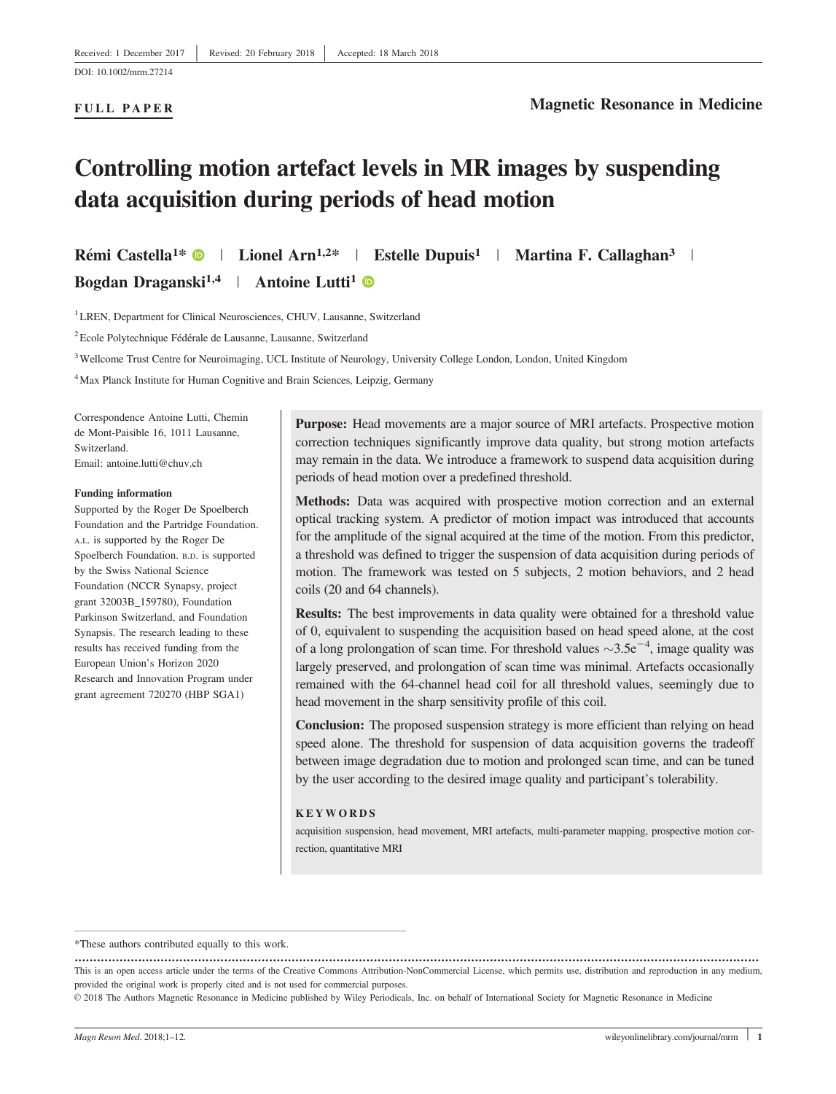#### FULL PAPER

# Controlling motion artefact levels in MR images by suspending data acquisition during periods of head motion

Rémi Castella<sup>1\*</sup>  $\bullet$  | Lionel Arn<sup>1,2\*</sup> | Estelle Dupuis<sup>1</sup> | Martina F. Callaghan<sup>3</sup> |

Bogdan Draganski<sup>1,4</sup> | Antoine Lutti<sup>1</sup>

<sup>1</sup> LREN, Department for Clinical Neurosciences, CHUV, Lausanne, Switzerland

<sup>2</sup> Ecole Polytechnique Fédérale de Lausanne, Lausanne, Switzerland

<sup>3</sup> Wellcome Trust Centre for Neuroimaging, UCL Institute of Neurology, University College London, London, United Kingdom

<sup>4</sup> Max Planck Institute for Human Cognitive and Brain Sciences, Leipzig, Germany

Correspondence Antoine Lutti, Chemin de Mont-Paisible 16, 1011 Lausanne, Switzerland. Email: antoine.lutti@chuv.ch

#### Funding information

Supported by the Roger De Spoelberch Foundation and the Partridge Foundation. A.L. is supported by the Roger De Spoelberch Foundation. B.D. is supported by the Swiss National Science Foundation (NCCR Synapsy, project grant 32003B\_159780), Foundation Parkinson Switzerland, and Foundation Synapsis. The research leading to these results has received funding from the European Union's Horizon 2020 Research and Innovation Program under grant agreement 720270 (HBP SGA1)

Purpose: Head movements are a major source of MRI artefacts. Prospective motion correction techniques significantly improve data quality, but strong motion artefacts may remain in the data. We introduce a framework to suspend data acquisition during periods of head motion over a predefined threshold.

Methods: Data was acquired with prospective motion correction and an external optical tracking system. A predictor of motion impact was introduced that accounts for the amplitude of the signal acquired at the time of the motion. From this predictor, a threshold was defined to trigger the suspension of data acquisition during periods of motion. The framework was tested on 5 subjects, 2 motion behaviors, and 2 head coils (20 and 64 channels).

Results: The best improvements in data quality were obtained for a threshold value of 0, equivalent to suspending the acquisition based on head speed alone, at the cost of a long prolongation of scan time. For threshold values  $\sim 3.5e^{-4}$ , image quality was largely preserved, and prolongation of scan time was minimal. Artefacts occasionally remained with the 64-channel head coil for all threshold values, seemingly due to head movement in the sharp sensitivity profile of this coil.

Conclusion: The proposed suspension strategy is more efficient than relying on head speed alone. The threshold for suspension of data acquisition governs the tradeoff between image degradation due to motion and prolonged scan time, and can be tuned by the user according to the desired image quality and participant's tolerability.

#### KEYWORDS

acquisition suspension, head movement, MRI artefacts, multi-parameter mapping, prospective motion correction, quantitative MRI

<sup>\*</sup>These authors contributed equally to this work.

<sup>.......................................................................................................................................................................................</sup> This is an open access article under the terms of the [Creative Commons Attribution-NonCommercial](http://creativecommons.org/licenses/by-nc/4.0/) License, which permits use, distribution and reproduction in any medium, provided the original work is properly cited and is not used for commercial purposes.

<sup>© 2018</sup> The Authors Magnetic Resonance in Medicine published by Wiley Periodicals, Inc. on behalf of International Society for Magnetic Resonance in Medicine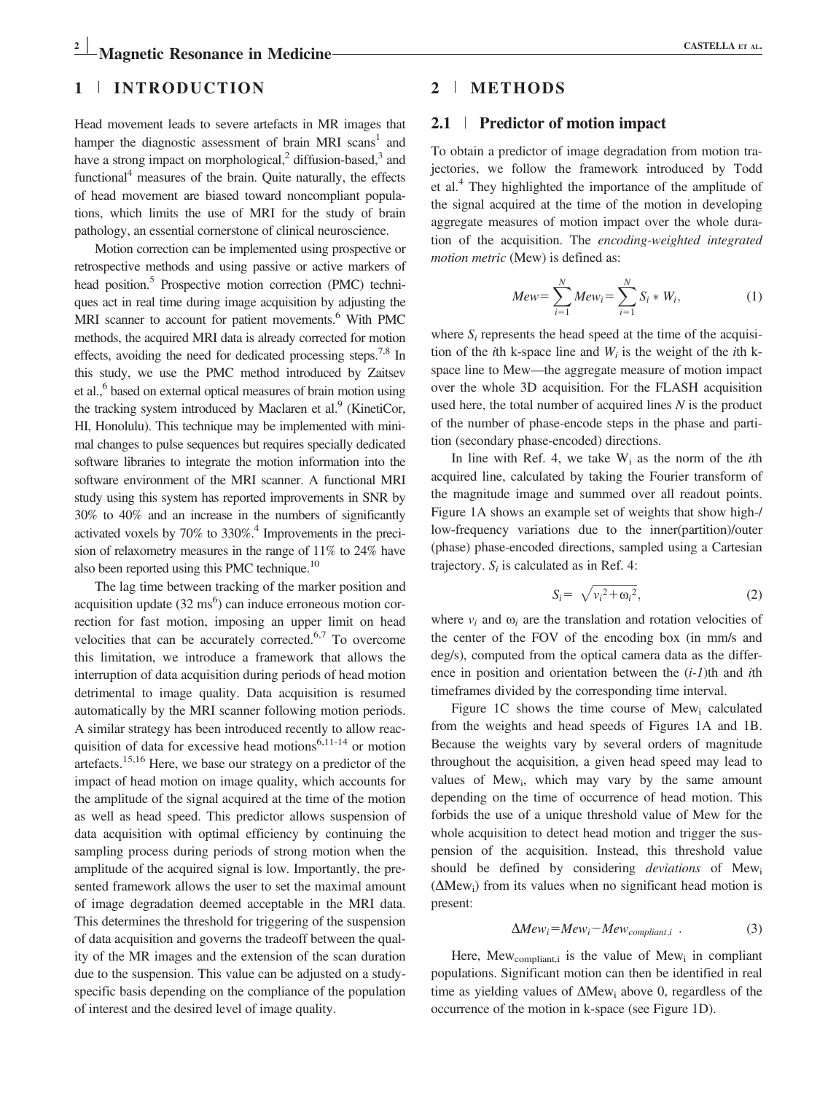## 1 <sup>|</sup> INTRODUCTION

Head movement leads to severe artefacts in MR images that hamper the diagnostic assessment of brain MRI scans<sup>1</sup> and have a strong impact on morphological, $2$  diffusion-based, $3$  and functional $4$  measures of the brain. Quite naturally, the effects of head movement are biased toward noncompliant populations, which limits the use of MRI for the study of brain pathology, an essential cornerstone of clinical neuroscience.

Motion correction can be implemented using prospective or retrospective methods and using passive or active markers of head position.<sup>5</sup> Prospective motion correction (PMC) techniques act in real time during image acquisition by adjusting the MRI scanner to account for patient movements.<sup>6</sup> With PMC methods, the acquired MRI data is already corrected for motion effects, avoiding the need for dedicated processing steps.<sup>7,8</sup> In this study, we use the PMC method introduced by Zaitsev et al.,6 based on external optical measures of brain motion using the tracking system introduced by Maclaren et al. $\frac{9}{9}$  (KinetiCor, HI, Honolulu). This technique may be implemented with minimal changes to pulse sequences but requires specially dedicated software libraries to integrate the motion information into the software environment of the MRI scanner. A functional MRI study using this system has reported improvements in SNR by 30% to 40% and an increase in the numbers of significantly activated voxels by  $70\%$  to  $330\%$ .<sup>4</sup> Improvements in the precision of relaxometry measures in the range of 11% to 24% have also been reported using this PMC technique.<sup>10</sup>

The lag time between tracking of the marker position and acquisition update  $(32 \text{ ms}^6)$  can induce erroneous motion correction for fast motion, imposing an upper limit on head velocities that can be accurately corrected. $6,7$  To overcome this limitation, we introduce a framework that allows the interruption of data acquisition during periods of head motion detrimental to image quality. Data acquisition is resumed automatically by the MRI scanner following motion periods. A similar strategy has been introduced recently to allow reacquisition of data for excessive head motions $6,11-14$  or motion artefacts.15,16 Here, we base our strategy on a predictor of the impact of head motion on image quality, which accounts for the amplitude of the signal acquired at the time of the motion as well as head speed. This predictor allows suspension of data acquisition with optimal efficiency by continuing the sampling process during periods of strong motion when the amplitude of the acquired signal is low. Importantly, the presented framework allows the user to set the maximal amount of image degradation deemed acceptable in the MRI data. This determines the threshold for triggering of the suspension of data acquisition and governs the tradeoff between the quality of the MR images and the extension of the scan duration due to the suspension. This value can be adjusted on a studyspecific basis depending on the compliance of the population of interest and the desired level of image quality.

## 2 <sup>|</sup> METHODS

#### 2.1 <sup>|</sup> Predictor of motion impact

To obtain a predictor of image degradation from motion trajectories, we follow the framework introduced by Todd et al.4 They highlighted the importance of the amplitude of the signal acquired at the time of the motion in developing aggregate measures of motion impact over the whole duration of the acquisition. The encoding-weighted integrated motion metric (Mew) is defined as:

$$
Mew = \sum_{i=1}^{N} Mew_i = \sum_{i=1}^{N} S_i * W_i,
$$
 (1)

where  $S_i$  represents the head speed at the time of the acquisition of the *i*th k-space line and  $W_i$  is the weight of the *i*th kspace line to Mew—the aggregate measure of motion impact over the whole 3D acquisition. For the FLASH acquisition used here, the total number of acquired lines  $N$  is the product of the number of phase-encode steps in the phase and partition (secondary phase-encoded) directions.

In line with Ref. 4, we take  $W_i$  as the norm of the *i*th acquired line, calculated by taking the Fourier transform of the magnitude image and summed over all readout points. Figure 1A shows an example set of weights that show high-/ low-frequency variations due to the inner(partition)/outer (phase) phase-encoded directions, sampled using a Cartesian trajectory.  $S_i$  is calculated as in Ref. 4:

$$
S_i = \sqrt{{v_i}^2 + {\omega_i}^2},\tag{2}
$$

where  $v_i$  and  $\omega_i$  are the translation and rotation velocities of the center of the FOV of the encoding box (in mm/s and deg/s), computed from the optical camera data as the difference in position and orientation between the  $(i-1)$ th and *i*th timeframes divided by the corresponding time interval.

Figure 1C shows the time course of Mew<sub>i</sub> calculated from the weights and head speeds of Figures 1A and 1B. Because the weights vary by several orders of magnitude throughout the acquisition, a given head speed may lead to values of Mew<sub>i</sub>, which may vary by the same amount depending on the time of occurrence of head motion. This forbids the use of a unique threshold value of Mew for the whole acquisition to detect head motion and trigger the suspension of the acquisition. Instead, this threshold value should be defined by considering *deviations* of Mew<sub>i</sub>  $(\Delta Mew_i)$  from its values when no significant head motion is present:

$$
\Delta Mew_i = Mew_i - Mew_{compliant, i} \tag{3}
$$

Here,  $Mew_{\text{compliant},i}$  is the value of  $Mew_i$  in compliant populations. Significant motion can then be identified in real time as yielding values of  $\Delta Mew_i$  above 0, regardless of the occurrence of the motion in k-space (see Figure 1D).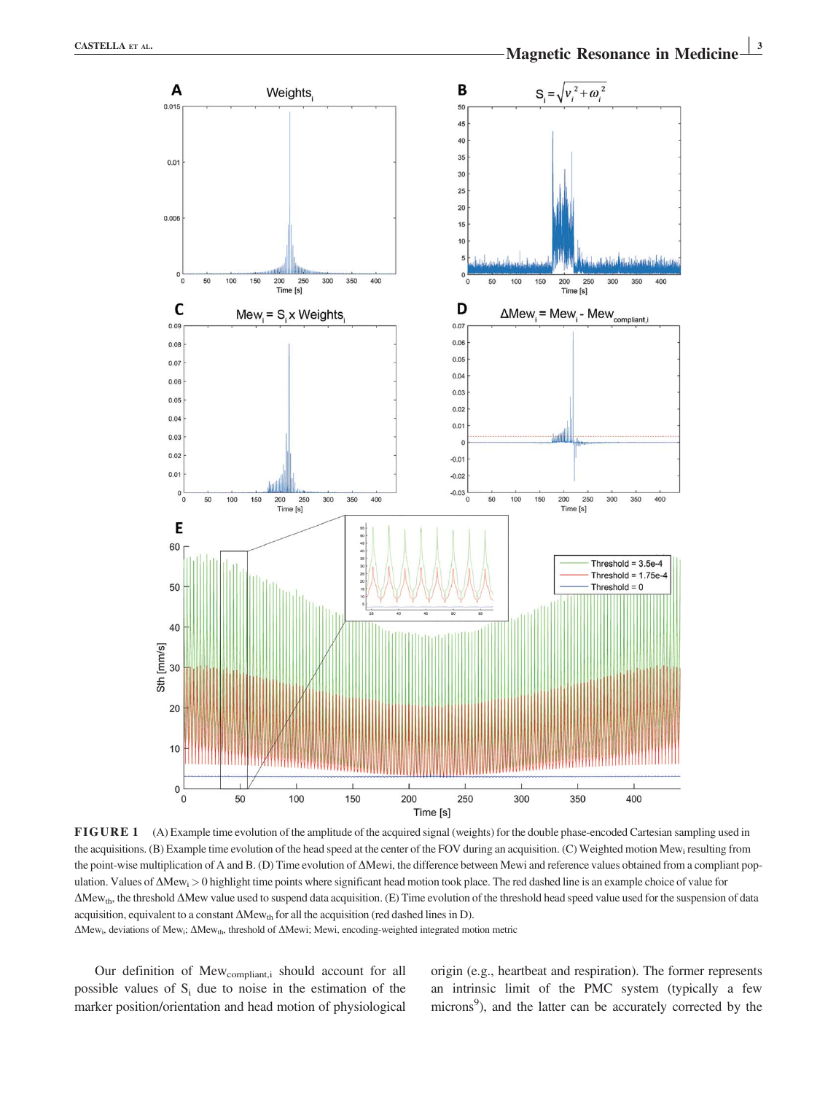

FIGURE 1 (A) Example time evolution of the amplitude of the acquired signal (weights) for the double phase-encoded Cartesian sampling used in the acquisitions. (B) Example time evolution of the head speed at the center of the FOV during an acquisition. (C) Weighted motion Mew<sub>i</sub> resulting from the point-wise multiplication of A and B. (D) Time evolution of  $\Delta$ Mewi, the difference between Mewi and reference values obtained from a compliant population. Values of  $\Delta Mew_i>0$  highlight time points where significant head motion took place. The red dashed line is an example choice of value for  $\Delta$ Mew<sub>th</sub>, the threshold  $\Delta$ Mew value used to suspend data acquisition. (E) Time evolution of the threshold head speed value used for the suspension of data acquisition, equivalent to a constant  $\Delta Mew_{th}$  for all the acquisition (red dashed lines in D).

 $\Delta$ Mew<sub>i</sub>, deviations of Mew<sub>i</sub>;  $\Delta$ Mew<sub>th</sub>, threshold of  $\Delta$ Mewi; Mewi, encoding-weighted integrated motion metric

Our definition of Mew<sub>compliant,i</sub> should account for all possible values of  $S_i$  due to noise in the estimation of the marker position/orientation and head motion of physiological origin (e.g., heartbeat and respiration). The former represents an intrinsic limit of the PMC system (typically a few microns<sup>9</sup>), and the latter can be accurately corrected by the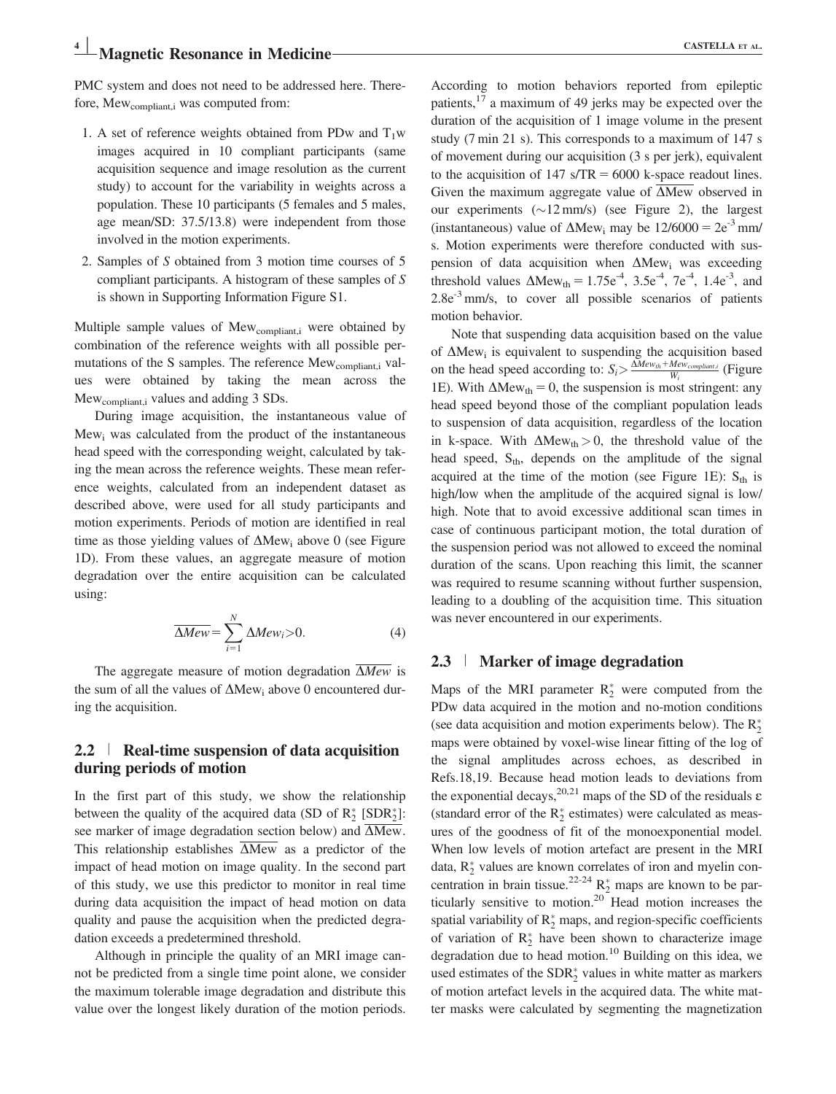## $\blacksquare$  Magnetic Resonance in Medicine CASTELLA ET AL.

PMC system and does not need to be addressed here. Therefore, Mew<sub>compliant,i</sub> was computed from:

- 1. A set of reference weights obtained from PDw and  $T_1w$ images acquired in 10 compliant participants (same acquisition sequence and image resolution as the current study) to account for the variability in weights across a population. These 10 participants (5 females and 5 males, age mean/SD: 37.5/13.8) were independent from those involved in the motion experiments.
- 2. Samples of S obtained from 3 motion time courses of 5 compliant participants. A histogram of these samples of S is shown in Supporting Information Figure S1.

Multiple sample values of Mew<sub>compliant,i</sub> were obtained by combination of the reference weights with all possible permutations of the S samples. The reference Mew<sub>compliant,i</sub> values were obtained by taking the mean across the Mew<sub>compliant,i</sub> values and adding 3 SDs.

During image acquisition, the instantaneous value of Mew<sub>i</sub> was calculated from the product of the instantaneous head speed with the corresponding weight, calculated by taking the mean across the reference weights. These mean reference weights, calculated from an independent dataset as described above, were used for all study participants and motion experiments. Periods of motion are identified in real time as those yielding values of  $\Delta Mew_i$  above 0 (see Figure 1D). From these values, an aggregate measure of motion degradation over the entire acquisition can be calculated using:

$$
\overline{\Delta Mew} = \sum_{i=1}^{N} \Delta Mew_i > 0.
$$
 (4)

The aggregate measure of motion degradation  $\Delta Mew$  is the sum of all the values of  $\Delta$ Mew<sub>i</sub> above 0 encountered during the acquisition.

#### 2.2 <sup>|</sup> Real-time suspension of data acquisition during periods of motion

In the first part of this study, we show the relationship between the quality of the acquired data (SD of  $R_2^*$  [SDR $_2^*$ ]: see marker of image degradation section below) and  $\Delta$ Mew. This relationship establishes  $\Delta Mew$  as a predictor of the impact of head motion on image quality. In the second part of this study, we use this predictor to monitor in real time during data acquisition the impact of head motion on data quality and pause the acquisition when the predicted degradation exceeds a predetermined threshold.

Although in principle the quality of an MRI image cannot be predicted from a single time point alone, we consider the maximum tolerable image degradation and distribute this value over the longest likely duration of the motion periods.

According to motion behaviors reported from epileptic patients,<sup>17</sup> a maximum of 49 jerks may be expected over the duration of the acquisition of 1 image volume in the present study (7 min 21 s). This corresponds to a maximum of 147 s of movement during our acquisition (3 s per jerk), equivalent to the acquisition of  $147 \text{ s}/\text{TR} = 6000 \text{ k-space readout lines.}$ Given the maximum aggregate value of  $\overline{\Delta Mew}$  observed in our experiments  $(\sim 12 \text{ mm/s})$  (see Figure 2), the largest (instantaneous) value of  $\Delta$ Mew<sub>i</sub> may be  $12/6000 = 2e^{-3}$  mm/ s. Motion experiments were therefore conducted with suspension of data acquisition when  $\Delta Mew_i$  was exceeding threshold values  $\Delta Mew_{th} = 1.75e^{-4}$ ,  $3.5e^{-4}$ ,  $7e^{-4}$ ,  $1.4e^{-3}$ , and  $2.8e^{-3}$  mm/s, to cover all possible scenarios of patients motion behavior.

Note that suspending data acquisition based on the value of  $\Delta$ Mew<sub>i</sub> is equivalent to suspending the acquisition based on the head speed according to:  $S_i \geq \frac{\Delta M e w_{th} + M e w_{compiliant,i}}{W_i}$  (Figure 1E). With  $\Delta Mew_{th} = 0$ , the suspension is most stringent: any head speed beyond those of the compliant population leads to suspension of data acquisition, regardless of the location in k-space. With  $\Delta Mew_{th} > 0$ , the threshold value of the head speed,  $S_{th}$ , depends on the amplitude of the signal acquired at the time of the motion (see Figure 1E):  $S_{th}$  is high/low when the amplitude of the acquired signal is low/ high. Note that to avoid excessive additional scan times in case of continuous participant motion, the total duration of the suspension period was not allowed to exceed the nominal duration of the scans. Upon reaching this limit, the scanner was required to resume scanning without further suspension, leading to a doubling of the acquisition time. This situation was never encountered in our experiments.

## 2.3 <sup>|</sup> Marker of image degradation

Maps of the MRI parameter  $R_2^*$  were computed from the PDw data acquired in the motion and no-motion conditions (see data acquisition and motion experiments below). The  $R_2^*$ maps were obtained by voxel-wise linear fitting of the log of the signal amplitudes across echoes, as described in Refs.18,19. Because head motion leads to deviations from the exponential decays,  $20,21$  maps of the SD of the residuals  $\varepsilon$ (standard error of the  $R_2^*$  estimates) were calculated as measures of the goodness of fit of the monoexponential model. When low levels of motion artefact are present in the MRI data, R <sup>2</sup> values are known correlates of iron and myelin concentration in brain tissue.<sup>22-24</sup>  $R_2^*$  maps are known to be particularly sensitive to motion.<sup>20</sup> Head motion increases the spatial variability of  $R_2^*$  maps, and region-specific coefficients of variation of  $\mathbb{R}_2^*$  have been shown to characterize image degradation due to head motion.<sup>10</sup> Building on this idea, we used estimates of the  $SDR_2^*$  values in white matter as markers of motion artefact levels in the acquired data. The white matter masks were calculated by segmenting the magnetization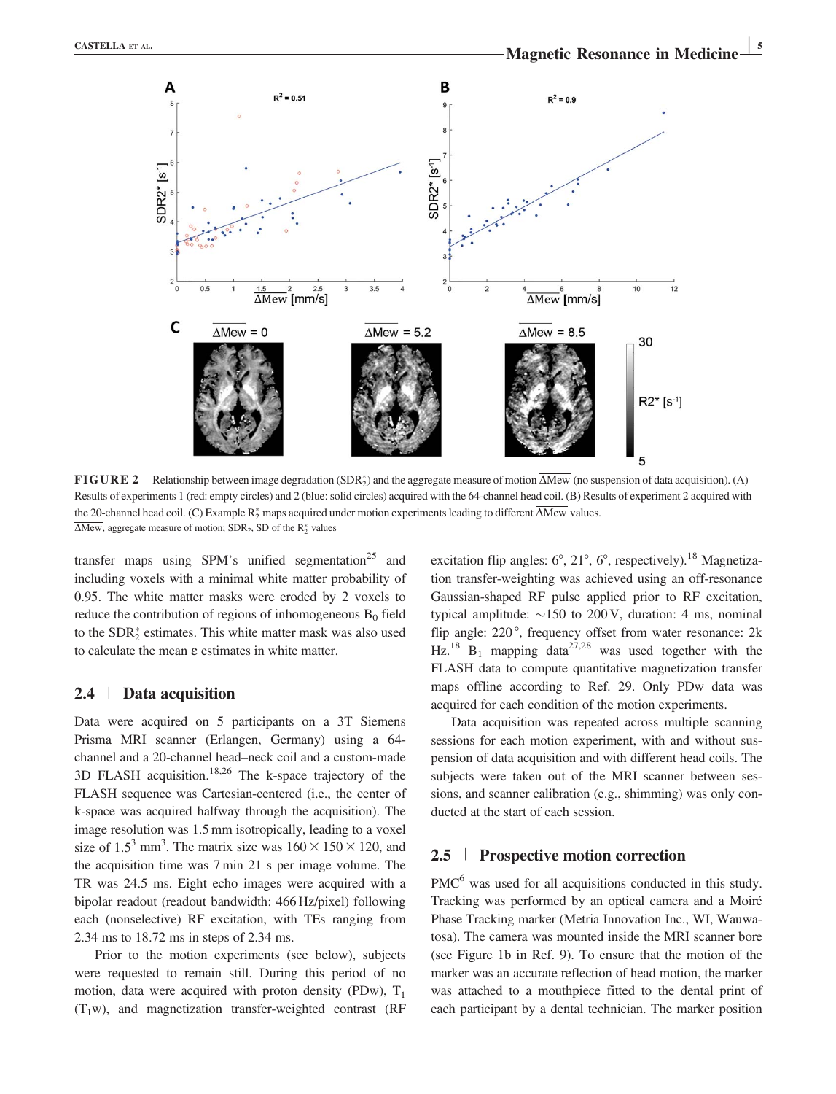

**FIGURE 2** Relationship between image degradation (SDR<sub>2</sub>) and the aggregate measure of motion  $\Delta$ Mew (no suspension of data acquisition). (A) Results of experiments 1 (red: empty circles) and 2 (blue: solid circles) acquired with the 64-channel head coil. (B) Results of experiment 2 acquired with the 20-channel head coil. (C) Example  $\mathsf{R}_2^*$  maps acquired under motion experiments leading to different  $\Delta$ Mew values.  $\Delta$ Mew, aggregate measure of motion; SDR<sub>2</sub>, SD of the R<sub>2</sub><sup>\*</sup> values

transfer maps using SPM's unified segmentation<sup>25</sup> and including voxels with a minimal white matter probability of 0.95. The white matter masks were eroded by 2 voxels to reduce the contribution of regions of inhomogeneous  $B_0$  field to the  $SDR_2^*$  estimates. This white matter mask was also used to calculate the mean  $\varepsilon$  estimates in white matter.

#### 2.4 <sup>|</sup> Data acquisition

Data were acquired on 5 participants on a 3T Siemens Prisma MRI scanner (Erlangen, Germany) using a 64 channel and a 20-channel head–neck coil and a custom-made 3D FLASH acquisition.<sup>18,26</sup> The k-space trajectory of the FLASH sequence was Cartesian-centered (i.e., the center of k-space was acquired halfway through the acquisition). The image resolution was 1.5 mm isotropically, leading to a voxel size of 1.5<sup>3</sup> mm<sup>3</sup>. The matrix size was  $160 \times 150 \times 120$ , and the acquisition time was 7 min 21 s per image volume. The TR was 24.5 ms. Eight echo images were acquired with a bipolar readout (readout bandwidth: 466 Hz/pixel) following each (nonselective) RF excitation, with TEs ranging from 2.34 ms to 18.72 ms in steps of 2.34 ms.

Prior to the motion experiments (see below), subjects were requested to remain still. During this period of no motion, data were acquired with proton density (PDw),  $T_1$  $(T_1w)$ , and magnetization transfer-weighted contrast (RF

excitation flip angles:  $6^\circ$ ,  $21^\circ$ ,  $6^\circ$ , respectively).<sup>18</sup> Magnetization transfer-weighting was achieved using an off-resonance Gaussian-shaped RF pulse applied prior to RF excitation, typical amplitude:  $\sim$ 150 to 200 V, duration: 4 ms, nominal flip angle:  $220^\circ$ , frequency offset from water resonance:  $2k$ Hz.<sup>18</sup> B<sub>1</sub> mapping data<sup>27,28</sup> was used together with the FLASH data to compute quantitative magnetization transfer maps offline according to Ref. 29. Only PDw data was acquired for each condition of the motion experiments.

Data acquisition was repeated across multiple scanning sessions for each motion experiment, with and without suspension of data acquisition and with different head coils. The subjects were taken out of the MRI scanner between sessions, and scanner calibration (e.g., shimming) was only conducted at the start of each session.

### 2.5 <sup>|</sup> Prospective motion correction

PMC<sup>6</sup> was used for all acquisitions conducted in this study. Tracking was performed by an optical camera and a Moire Phase Tracking marker (Metria Innovation Inc., WI, Wauwatosa). The camera was mounted inside the MRI scanner bore (see Figure 1b in Ref. 9). To ensure that the motion of the marker was an accurate reflection of head motion, the marker was attached to a mouthpiece fitted to the dental print of each participant by a dental technician. The marker position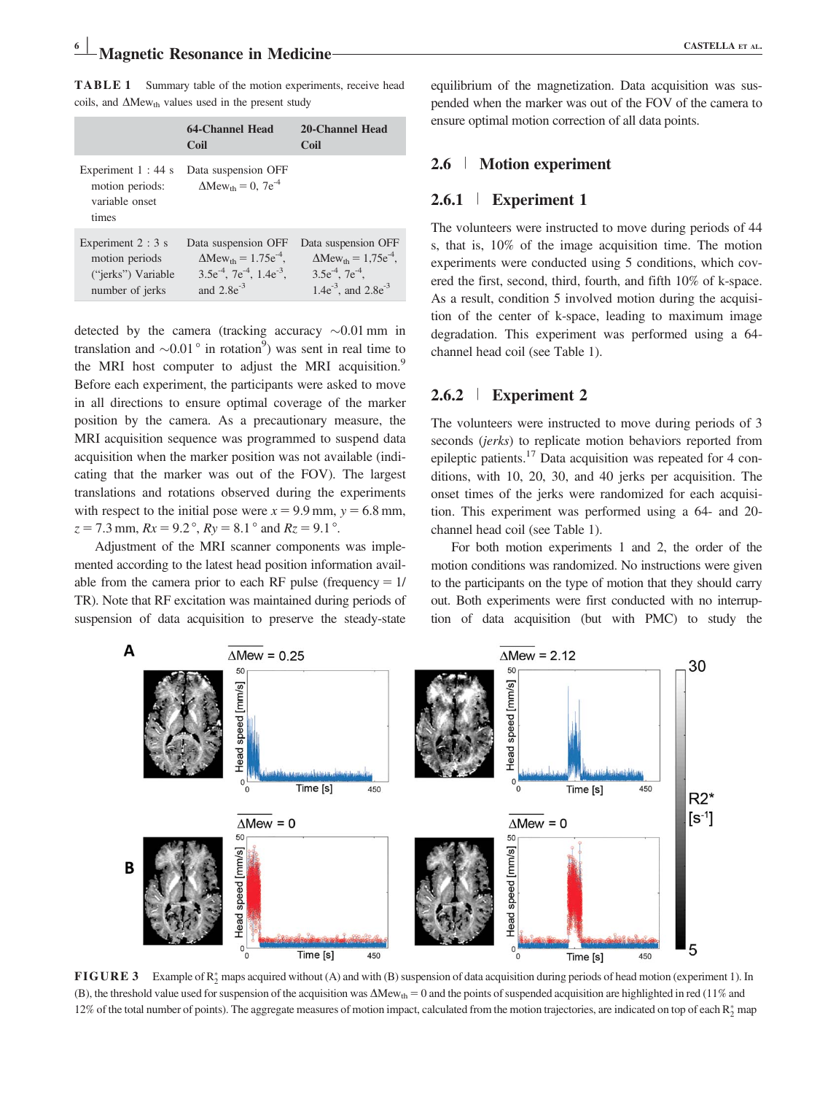TABLE 1 Summary table of the motion experiments, receive head coils, and  $\Delta$ Mew<sub>th</sub> values used in the present study

|                                                                               | 64-Channel Head<br>Coil                                                                                                                 | 20-Channel Head<br>Coil                                                                                                                   |
|-------------------------------------------------------------------------------|-----------------------------------------------------------------------------------------------------------------------------------------|-------------------------------------------------------------------------------------------------------------------------------------------|
| Experiment $1:44$ s<br>motion periods:<br>variable onset<br>times             | Data suspension OFF<br>$\Delta$ Mew <sub>th</sub> = 0, 7e <sup>-4</sup>                                                                 |                                                                                                                                           |
| Experiment $2:3$ s<br>motion periods<br>("jerks") Variable<br>number of jerks | Data suspension OFF<br>$\Delta$ Mew <sub>th</sub> = 1.75e <sup>-4</sup> ,<br>$3.5e^{-4}$ , $7e^{-4}$ , $1.4e^{-3}$ ,<br>and $2.8e^{-3}$ | Data suspension OFF<br>$\Delta$ Mew <sub>th</sub> = 1.75e <sup>-4</sup> .<br>$3.5e^{-4}$ , $7e^{-4}$ .<br>1.4 $e^{-3}$ , and 2.8 $e^{-3}$ |

detected by the camera (tracking accuracy  $\sim 0.01$  mm in translation and  $\sim 0.01$  ° in rotation<sup>9</sup>) was sent in real time to the MRI host computer to adjust the MRI acquisition.<sup>9</sup> Before each experiment, the participants were asked to move in all directions to ensure optimal coverage of the marker position by the camera. As a precautionary measure, the MRI acquisition sequence was programmed to suspend data acquisition when the marker position was not available (indicating that the marker was out of the FOV). The largest translations and rotations observed during the experiments with respect to the initial pose were  $x = 9.9$  mm,  $y = 6.8$  mm,  $z = 7.3$  mm,  $Rx = 9.2^\circ$ ,  $Ry = 8.1^\circ$  and  $Rz = 9.1^\circ$ .

Adjustment of the MRI scanner components was implemented according to the latest head position information available from the camera prior to each RF pulse (frequency  $= 1/$ TR). Note that RF excitation was maintained during periods of suspension of data acquisition to preserve the steady-state equilibrium of the magnetization. Data acquisition was suspended when the marker was out of the FOV of the camera to ensure optimal motion correction of all data points.

## 2.6 <sup>|</sup> Motion experiment

### 2.6.1 <sup>|</sup> Experiment 1

The volunteers were instructed to move during periods of 44 s, that is, 10% of the image acquisition time. The motion experiments were conducted using 5 conditions, which covered the first, second, third, fourth, and fifth 10% of k-space. As a result, condition 5 involved motion during the acquisition of the center of k-space, leading to maximum image degradation. This experiment was performed using a 64 channel head coil (see Table 1).

## 2.6.2 <sup>|</sup> Experiment 2

The volunteers were instructed to move during periods of 3 seconds (*jerks*) to replicate motion behaviors reported from epileptic patients.17 Data acquisition was repeated for 4 conditions, with 10, 20, 30, and 40 jerks per acquisition. The onset times of the jerks were randomized for each acquisition. This experiment was performed using a 64- and 20 channel head coil (see Table 1).

For both motion experiments 1 and 2, the order of the motion conditions was randomized. No instructions were given to the participants on the type of motion that they should carry out. Both experiments were first conducted with no interruption of data acquisition (but with PMC) to study the



**FIGURE 3** Example of  $R_2^*$  maps acquired without (A) and with (B) suspension of data acquisition during periods of head motion (experiment 1). In (B), the threshold value used for suspension of the acquisition was  $\Delta Mew_{th} = 0$  and the points of suspended acquisition are highlighted in red (11% and 12% of the total number of points). The aggregate measures of motion impact, calculated from the motion trajectories, are indicated on top of each  $R_2^*$  map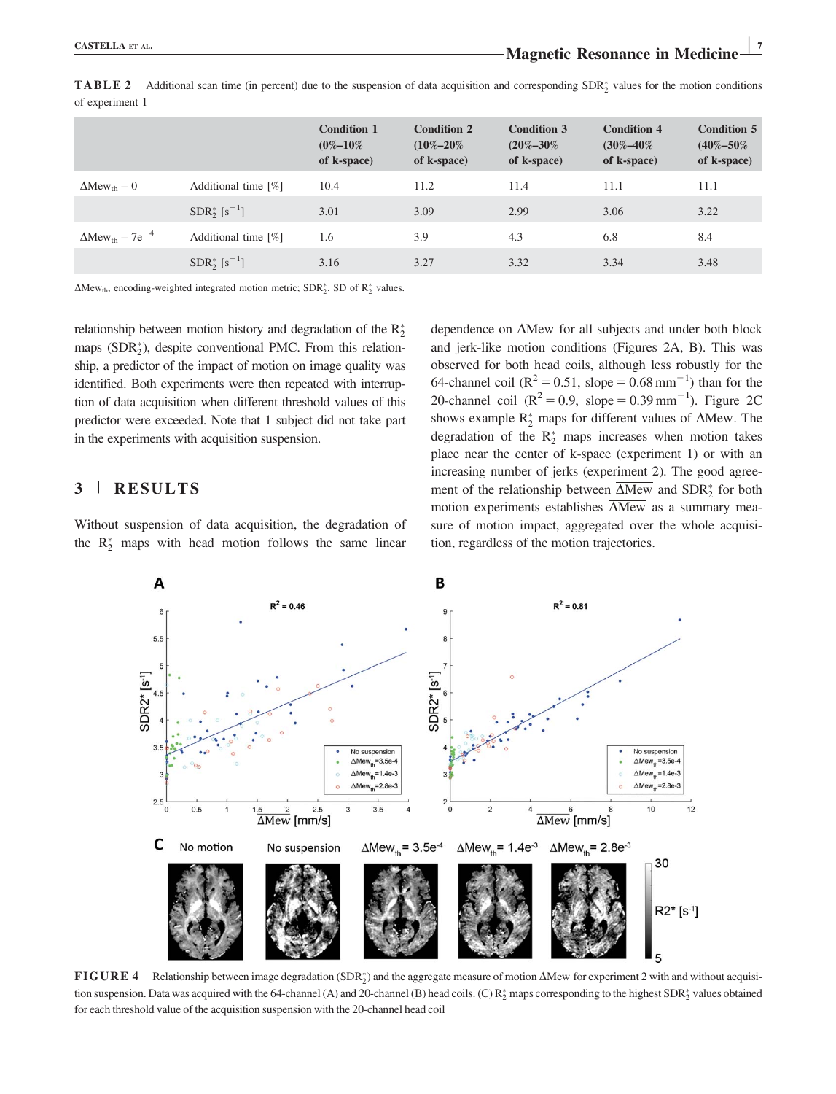|                                               |                     | <b>Condition 1</b><br>$(0\% - 10\%$<br>of k-space) | <b>Condition 2</b><br>$(10\% - 20\%$<br>of k-space) | <b>Condition 3</b><br>$(20\% - 30\%$<br>of k-space) | <b>Condition 4</b><br>$(30\% - 40\%$<br>of k-space) | Condition 5<br>$(40\% - 50\%$<br>of k-space) |
|-----------------------------------------------|---------------------|----------------------------------------------------|-----------------------------------------------------|-----------------------------------------------------|-----------------------------------------------------|----------------------------------------------|
| $\Delta$ Mew <sub>th</sub> = 0                | Additional time [%] | 10.4                                               | 11.2                                                | 11.4                                                | 11.1                                                | 11.1                                         |
|                                               | $SDR_2^*[s^{-1}]$   | 3.01                                               | 3.09                                                | 2.99                                                | 3.06                                                | 3.22                                         |
| $\Delta$ Mew <sub>th</sub> = 7e <sup>-4</sup> | Additional time [%] | 1.6                                                | 3.9                                                 | 4.3                                                 | 6.8                                                 | 8.4                                          |
|                                               | $SDR_2^*[s^{-1}]$   | 3.16                                               | 3.27                                                | 3.32                                                | 3.34                                                | 3.48                                         |

**TABLE 2** Additional scan time (in percent) due to the suspension of data acquisition and corresponding SDR $_2^*$  values for the motion conditions of experiment 1

 $\Delta$ Mew<sub>th</sub>, encoding-weighted integrated motion metric; SDR<sub>2</sub><sup>\*</sup>, SD of R<sub>2</sub><sup>\*</sup> values.

relationship between motion history and degradation of the  $R_2^*$ maps (SDR 2), despite conventional PMC. From this relationship, a predictor of the impact of motion on image quality was identified. Both experiments were then repeated with interruption of data acquisition when different threshold values of this predictor were exceeded. Note that 1 subject did not take part in the experiments with acquisition suspension.

### 3 <sup>|</sup> RESULTS

Without suspension of data acquisition, the degradation of the  $R_2^*$  maps with head motion follows the same linear dependence on  $\overline{\Delta Mew}$  for all subjects and under both block and jerk-like motion conditions (Figures 2A, B). This was observed for both head coils, although less robustly for the 64-channel coil ( $R^2 = 0.51$ , slope = 0.68 mm<sup>-1</sup>) than for the 20-channel coil ( $R^2 = 0.9$ , slope = 0.39 mm<sup>-1</sup>). Figure 2C shows example  $R_2^*$  maps for different values of  $\Delta$ Mew. The degradation of the  $R_2^*$  maps increases when motion takes place near the center of k-space (experiment 1) or with an increasing number of jerks (experiment 2). The good agreement of the relationship between  $\Delta$ Mew and  $SDR_2^*$  for both motion experiments establishes  $\overline{\Delta Mew}$  as a summary measure of motion impact, aggregated over the whole acquisition, regardless of the motion trajectories.



**FIGURE 4** Relationship between image degradation  $(SDR<sub>2</sub><sup>*</sup>)$  and the aggregate measure of motion  $\Delta$ Mew for experiment 2 with and without acquisition suspension. Data was acquired with the 64-channel (A) and 20-channel (B) head coils. (C)  $R_2^*$  maps corresponding to the highest  $SDR_2^*$  values obtained for each threshold value of the acquisition suspension with the 20-channel head coil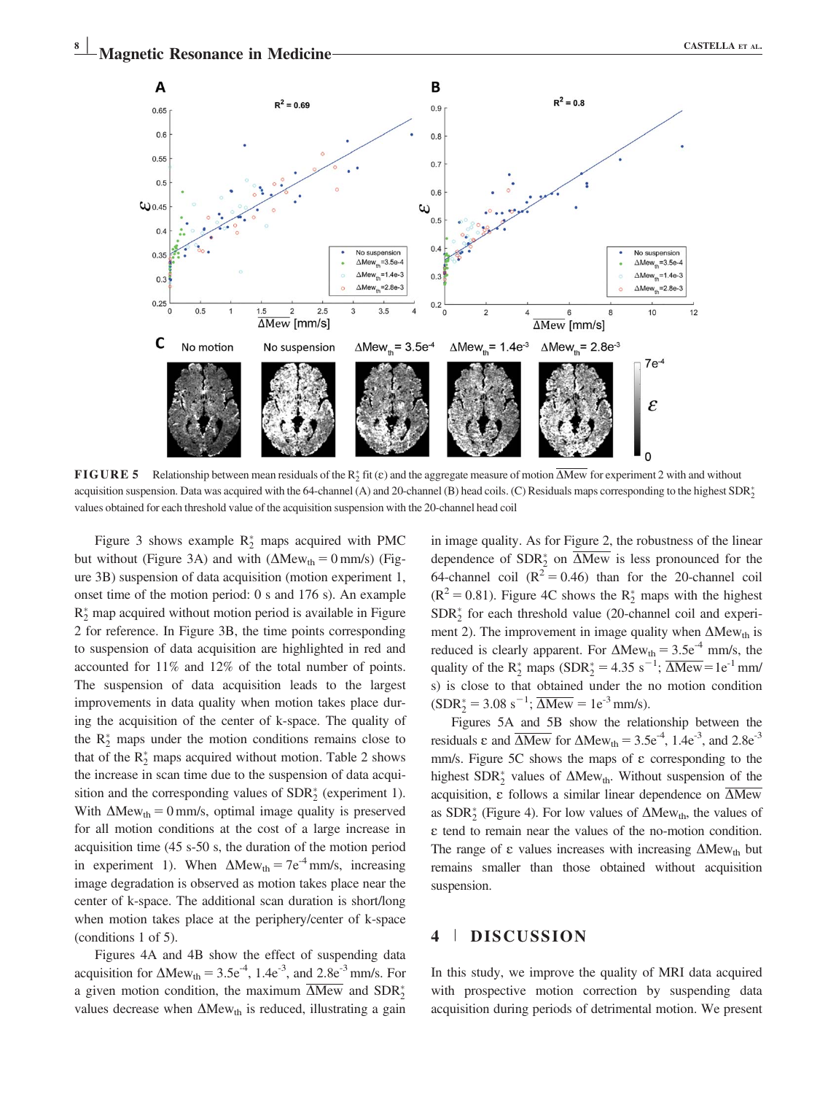

**FIGURE 5** Relationship between mean residuals of the  $R_2^*$  fit ( $\varepsilon$ ) and the aggregate measure of motion  $\Delta$ Mew for experiment 2 with and without acquisition suspension. Data was acquired with the 64-channel (A) and 20-channel (B) head coils. (C) Residuals maps corresponding to the highest  $SDR_2^*$ values obtained for each threshold value of the acquisition suspension with the 20-channel head coil

Figure 3 shows example  $R_2^*$  maps acquired with PMC but without (Figure 3A) and with  $(\Delta Mew_{th} = 0 \text{ mm/s})$  (Figure 3B) suspension of data acquisition (motion experiment 1, onset time of the motion period: 0 s and 176 s). An example  $R_2^*$  map acquired without motion period is available in Figure 2 for reference. In Figure 3B, the time points corresponding to suspension of data acquisition are highlighted in red and accounted for 11% and 12% of the total number of points. The suspension of data acquisition leads to the largest improvements in data quality when motion takes place during the acquisition of the center of k-space. The quality of the  $R_2^*$  maps under the motion conditions remains close to that of the  $R_2^*$  maps acquired without motion. Table 2 shows the increase in scan time due to the suspension of data acquisition and the corresponding values of  $SDR_2^*$  (experiment 1). With  $\Delta Mew_{th} = 0$  mm/s, optimal image quality is preserved for all motion conditions at the cost of a large increase in acquisition time (45 s-50 s, the duration of the motion period in experiment 1). When  $\Delta Mew_{th} = 7e^{-4}$  mm/s, increasing image degradation is observed as motion takes place near the center of k-space. The additional scan duration is short/long when motion takes place at the periphery/center of k-space (conditions 1 of 5).

Figures 4A and 4B show the effect of suspending data acquisition for  $\Delta Mew_{th} = 3.5e^{-4}$ , 1.4e<sup>-3</sup>, and 2.8e<sup>-3</sup> mm/s. For a given motion condition, the maximum  $\Delta$ Mew and  $SDR_2^*$ values decrease when  $\Delta Mew_{th}$  is reduced, illustrating a gain in image quality. As for Figure 2, the robustness of the linear dependence of  $SDR_2^*$  on  $\Delta Mew$  is less pronounced for the 64-channel coil  $(R^2 = 0.46)$  than for the 20-channel coil  $(R<sup>2</sup> = 0.81)$ . Figure 4C shows the  $R_2^*$  maps with the highest SDR <sup>2</sup> for each threshold value (20-channel coil and experiment 2). The improvement in image quality when  $\Delta Mew_{th}$  is reduced is clearly apparent. For  $\Delta Mew_{th} = 3.5e^{-4}$  mm/s, the quality of the  $R_2^*$  maps (SDR<sub>2</sub><sup>\*</sup> = 4.35 s<sup>-1</sup>;  $\overline{\Delta Mew}$  = 1e<sup>-1</sup> mm/ s) is close to that obtained under the no motion condition  $(SDR<sub>2</sub><sup>*</sup> = 3.08 s<sup>-1</sup>;  $\overline{\Delta Mew} = 1e^{-3} \text{mm/s}$ ).$ 

Figures 5A and 5B show the relationship between the residuals  $\varepsilon$  and  $\overline{\Delta Mew}$  for  $\Delta Mew_{th} = 3.5e^{-4}$ , 1.4e<sup>-3</sup>, and 2.8e<sup>-3</sup> mm/s. Figure  $5C$  shows the maps of  $\varepsilon$  corresponding to the highest  $SDR_2^*$  values of  $\Delta Mew_{th}$ . Without suspension of the acquisition,  $\varepsilon$  follows a similar linear dependence on  $\overline{\Delta Mew}$ as  $SDR_2^*$  (Figure 4). For low values of  $\Delta Mew_{th}$ , the values of E tend to remain near the values of the no-motion condition. The range of  $\varepsilon$  values increases with increasing  $\Delta Mew_{th}$  but remains smaller than those obtained without acquisition suspension.

## 4 <sup>|</sup> DISCUSSION

In this study, we improve the quality of MRI data acquired with prospective motion correction by suspending data acquisition during periods of detrimental motion. We present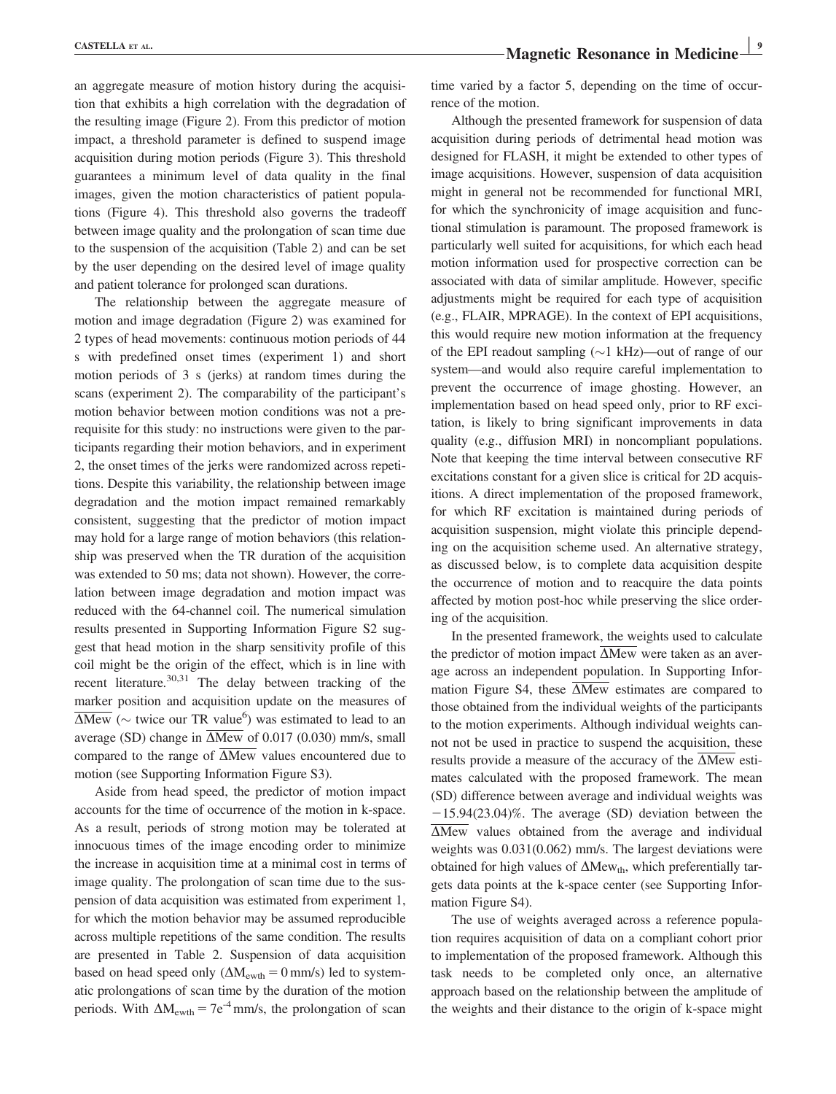an aggregate measure of motion history during the acquisition that exhibits a high correlation with the degradation of the resulting image (Figure 2). From this predictor of motion impact, a threshold parameter is defined to suspend image acquisition during motion periods (Figure 3). This threshold guarantees a minimum level of data quality in the final images, given the motion characteristics of patient populations (Figure 4). This threshold also governs the tradeoff between image quality and the prolongation of scan time due to the suspension of the acquisition (Table 2) and can be set by the user depending on the desired level of image quality and patient tolerance for prolonged scan durations.

The relationship between the aggregate measure of motion and image degradation (Figure 2) was examined for 2 types of head movements: continuous motion periods of 44 s with predefined onset times (experiment 1) and short motion periods of 3 s (jerks) at random times during the scans (experiment 2). The comparability of the participant's motion behavior between motion conditions was not a prerequisite for this study: no instructions were given to the participants regarding their motion behaviors, and in experiment 2, the onset times of the jerks were randomized across repetitions. Despite this variability, the relationship between image degradation and the motion impact remained remarkably consistent, suggesting that the predictor of motion impact may hold for a large range of motion behaviors (this relationship was preserved when the TR duration of the acquisition was extended to 50 ms; data not shown). However, the correlation between image degradation and motion impact was reduced with the 64-channel coil. The numerical simulation results presented in Supporting Information Figure S2 suggest that head motion in the sharp sensitivity profile of this coil might be the origin of the effect, which is in line with recent literature.<sup>30,31</sup> The delay between tracking of the marker position and acquisition update on the measures of  $\overline{\Delta Mew}$  ( $\sim$  twice our TR value<sup>6</sup>) was estimated to lead to an average (SD) change in  $\overline{\Delta Mew}$  of 0.017 (0.030) mm/s, small compared to the range of  $\overline{\Delta Mew}$  values encountered due to motion (see Supporting Information Figure S3).

Aside from head speed, the predictor of motion impact accounts for the time of occurrence of the motion in k-space. As a result, periods of strong motion may be tolerated at innocuous times of the image encoding order to minimize the increase in acquisition time at a minimal cost in terms of image quality. The prolongation of scan time due to the suspension of data acquisition was estimated from experiment 1, for which the motion behavior may be assumed reproducible across multiple repetitions of the same condition. The results are presented in Table 2. Suspension of data acquisition based on head speed only  $(\Delta M_{\text{ewth}} = 0 \text{ mm/s})$  led to systematic prolongations of scan time by the duration of the motion periods. With  $\Delta M_{\text{ewth}} = 7e^{-4}$  mm/s, the prolongation of scan

time varied by a factor 5, depending on the time of occurrence of the motion.

Although the presented framework for suspension of data acquisition during periods of detrimental head motion was designed for FLASH, it might be extended to other types of image acquisitions. However, suspension of data acquisition might in general not be recommended for functional MRI, for which the synchronicity of image acquisition and functional stimulation is paramount. The proposed framework is particularly well suited for acquisitions, for which each head motion information used for prospective correction can be associated with data of similar amplitude. However, specific adjustments might be required for each type of acquisition (e.g., FLAIR, MPRAGE). In the context of EPI acquisitions, this would require new motion information at the frequency of the EPI readout sampling  $(\sim)$  kHz)—out of range of our system—and would also require careful implementation to prevent the occurrence of image ghosting. However, an implementation based on head speed only, prior to RF excitation, is likely to bring significant improvements in data quality (e.g., diffusion MRI) in noncompliant populations. Note that keeping the time interval between consecutive RF excitations constant for a given slice is critical for 2D acquisitions. A direct implementation of the proposed framework, for which RF excitation is maintained during periods of acquisition suspension, might violate this principle depending on the acquisition scheme used. An alternative strategy, as discussed below, is to complete data acquisition despite the occurrence of motion and to reacquire the data points affected by motion post-hoc while preserving the slice ordering of the acquisition.

In the presented framework, the weights used to calculate the predictor of motion impact  $\overline{\Delta Mew}$  were taken as an average across an independent population. In Supporting Information Figure S4, these  $\overline{\Delta Mew}$  estimates are compared to those obtained from the individual weights of the participants to the motion experiments. Although individual weights cannot not be used in practice to suspend the acquisition, these results provide a measure of the accuracy of the  $\overline{\Delta Mew}$  estimates calculated with the proposed framework. The mean (SD) difference between average and individual weights was  $-15.94(23.04)\%$ . The average (SD) deviation between the  $\Delta$ Mew values obtained from the average and individual weights was 0.031(0.062) mm/s. The largest deviations were obtained for high values of  $\Delta Mew_{th}$ , which preferentially targets data points at the k-space center (see Supporting Information Figure S4).

The use of weights averaged across a reference population requires acquisition of data on a compliant cohort prior to implementation of the proposed framework. Although this task needs to be completed only once, an alternative approach based on the relationship between the amplitude of the weights and their distance to the origin of k-space might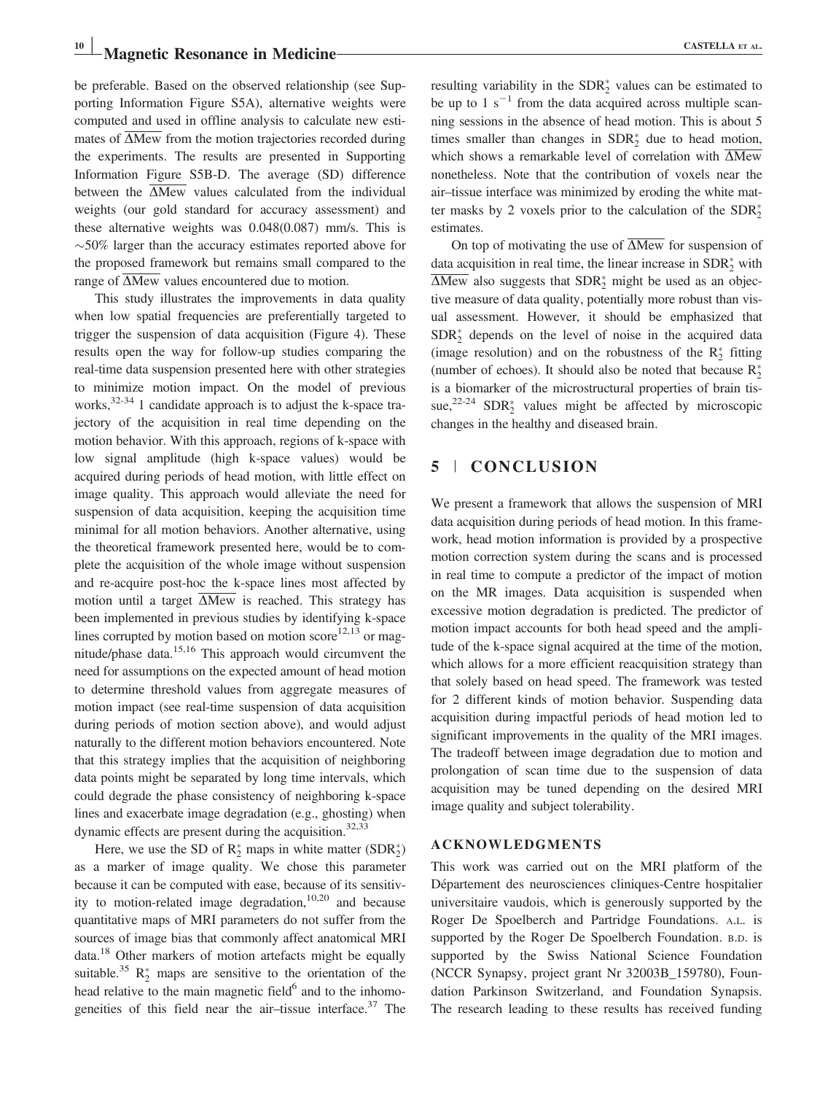be preferable. Based on the observed relationship (see Supporting Information Figure S5A), alternative weights were computed and used in offline analysis to calculate new estimates of  $\overline{\Delta}$ Mew from the motion trajectories recorded during the experiments. The results are presented in Supporting Information Figure S5B-D. The average (SD) difference between the  $\Delta$ Mew values calculated from the individual weights (our gold standard for accuracy assessment) and these alternative weights was 0.048(0.087) mm/s. This is  $\sim$  50% larger than the accuracy estimates reported above for the proposed framework but remains small compared to the range of  $\overline{\Delta}$ Mew values encountered due to motion.

This study illustrates the improvements in data quality when low spatial frequencies are preferentially targeted to trigger the suspension of data acquisition (Figure 4). These results open the way for follow-up studies comparing the real-time data suspension presented here with other strategies to minimize motion impact. On the model of previous works, $32-34$  1 candidate approach is to adjust the k-space trajectory of the acquisition in real time depending on the motion behavior. With this approach, regions of k-space with low signal amplitude (high k-space values) would be acquired during periods of head motion, with little effect on image quality. This approach would alleviate the need for suspension of data acquisition, keeping the acquisition time minimal for all motion behaviors. Another alternative, using the theoretical framework presented here, would be to complete the acquisition of the whole image without suspension and re-acquire post-hoc the k-space lines most affected by motion until a target  $\Delta$ Mew is reached. This strategy has been implemented in previous studies by identifying k-space lines corrupted by motion based on motion score $12,13$  or magnitude/phase data.15,16 This approach would circumvent the need for assumptions on the expected amount of head motion to determine threshold values from aggregate measures of motion impact (see real-time suspension of data acquisition during periods of motion section above), and would adjust naturally to the different motion behaviors encountered. Note that this strategy implies that the acquisition of neighboring data points might be separated by long time intervals, which could degrade the phase consistency of neighboring k-space lines and exacerbate image degradation (e.g., ghosting) when dynamic effects are present during the acquisition. $32,33$ 

Here, we use the SD of  $R_2^*$  maps in white matter  $(SDR_2^*)$ as a marker of image quality. We chose this parameter because it can be computed with ease, because of its sensitivity to motion-related image degradation,<sup>10,20</sup> and because quantitative maps of MRI parameters do not suffer from the sources of image bias that commonly affect anatomical MRI data.18 Other markers of motion artefacts might be equally suitable.<sup>35</sup>  $R_2^*$  maps are sensitive to the orientation of the head relative to the main magnetic field $<sup>6</sup>$  and to the inhomo-</sup> geneities of this field near the air-tissue interface. $37$  The

resulting variability in the SDR <sup>2</sup> values can be estimated to be up to 1  $s^{-1}$  from the data acquired across multiple scanning sessions in the absence of head motion. This is about 5 times smaller than changes in  $SDR_2^*$  due to head motion, which shows a remarkable level of correlation with  $\overline{\Delta M}$ ew nonetheless. Note that the contribution of voxels near the air–tissue interface was minimized by eroding the white matter masks by 2 voxels prior to the calculation of the  $SDR_2^*$ estimates.

On top of motivating the use of  $\overline{\Delta}$ Mew for suspension of data acquisition in real time, the linear increase in  $SDR_2^*$  with  $\Delta$ Mew also suggests that SDR<sup>\*</sup>/<sub>2</sub> might be used as an objective measure of data quality, potentially more robust than visual assessment. However, it should be emphasized that  $SDR<sub>2</sub><sup>*</sup>$  depends on the level of noise in the acquired data (image resolution) and on the robustness of the  $R_2^*$  fitting (number of echoes). It should also be noted that because  $R_2^*$ is a biomarker of the microstructural properties of brain tissue,<sup>22-24</sup> SDR<sub>2</sub><sup>\*</sup> values might be affected by microscopic changes in the healthy and diseased brain.

## 5 <sup>|</sup> CONCLUSION

We present a framework that allows the suspension of MRI data acquisition during periods of head motion. In this framework, head motion information is provided by a prospective motion correction system during the scans and is processed in real time to compute a predictor of the impact of motion on the MR images. Data acquisition is suspended when excessive motion degradation is predicted. The predictor of motion impact accounts for both head speed and the amplitude of the k-space signal acquired at the time of the motion, which allows for a more efficient reacquisition strategy than that solely based on head speed. The framework was tested for 2 different kinds of motion behavior. Suspending data acquisition during impactful periods of head motion led to significant improvements in the quality of the MRI images. The tradeoff between image degradation due to motion and prolongation of scan time due to the suspension of data acquisition may be tuned depending on the desired MRI image quality and subject tolerability.

#### ACKNOWLEDGMENTS

This work was carried out on the MRI platform of the Département des neurosciences cliniques-Centre hospitalier universitaire vaudois, which is generously supported by the Roger De Spoelberch and Partridge Foundations. A.L. is supported by the Roger De Spoelberch Foundation. B.D. is supported by the Swiss National Science Foundation (NCCR Synapsy, project grant Nr 32003B\_159780), Foundation Parkinson Switzerland, and Foundation Synapsis. The research leading to these results has received funding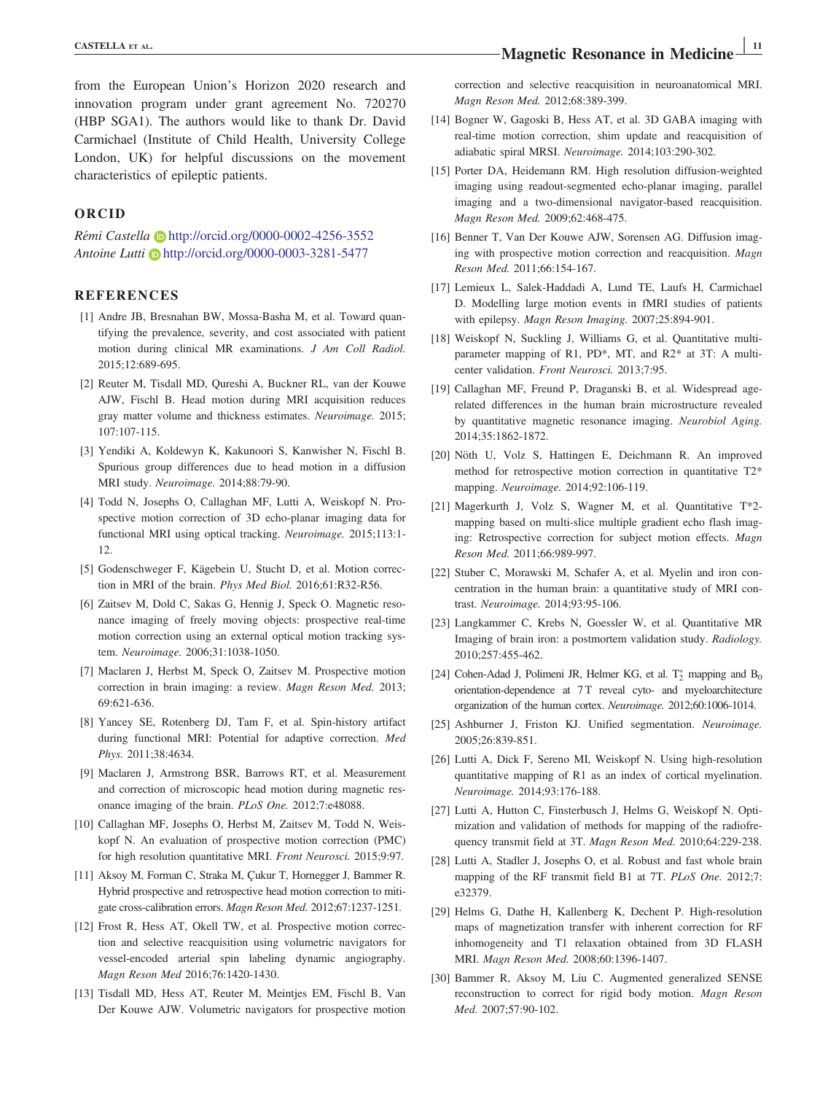from the European Union's Horizon 2020 research and innovation program under grant agreement No. 720270 (HBP SGA1). The authors would like to thank Dr. David Carmichael (Institute of Child Health, University College London, UK) for helpful discussions on the movement characteristics of epileptic patients.

#### ORCID

Remi Castella <http://orcid.org/0000-0002-4256-3552> Antoine Lutti D<http://orcid.org/0000-0003-3281-5477>

#### REFERENCES

- [1] Andre JB, Bresnahan BW, Mossa-Basha M, et al. Toward quantifying the prevalence, severity, and cost associated with patient motion during clinical MR examinations. J Am Coll Radiol. 2015;12:689-695.
- [2] Reuter M, Tisdall MD, Qureshi A, Buckner RL, van der Kouwe AJW, Fischl B. Head motion during MRI acquisition reduces gray matter volume and thickness estimates. Neuroimage. 2015; 107:107-115.
- [3] Yendiki A, Koldewyn K, Kakunoori S, Kanwisher N, Fischl B. Spurious group differences due to head motion in a diffusion MRI study. Neuroimage. 2014;88:79-90.
- [4] Todd N, Josephs O, Callaghan MF, Lutti A, Weiskopf N. Prospective motion correction of 3D echo-planar imaging data for functional MRI using optical tracking. Neuroimage. 2015;113:1- 12.
- [5] Godenschweger F, Kägebein U, Stucht D, et al. Motion correction in MRI of the brain. Phys Med Biol. 2016;61:R32-R56.
- [6] Zaitsev M, Dold C, Sakas G, Hennig J, Speck O. Magnetic resonance imaging of freely moving objects: prospective real-time motion correction using an external optical motion tracking system. Neuroimage. 2006;31:1038-1050.
- [7] Maclaren J, Herbst M, Speck O, Zaitsev M. Prospective motion correction in brain imaging: a review. Magn Reson Med. 2013; 69:621-636.
- [8] Yancey SE, Rotenberg DJ, Tam F, et al. Spin-history artifact during functional MRI: Potential for adaptive correction. Med Phys. 2011;38:4634.
- [9] Maclaren J, Armstrong BSR, Barrows RT, et al. Measurement and correction of microscopic head motion during magnetic resonance imaging of the brain. PLoS One. 2012;7:e48088.
- [10] Callaghan MF, Josephs O, Herbst M, Zaitsev M, Todd N, Weiskopf N. An evaluation of prospective motion correction (PMC) for high resolution quantitative MRI. Front Neurosci. 2015;9:97.
- [11] Aksoy M, Forman C, Straka M, Çukur T, Hornegger J, Bammer R. Hybrid prospective and retrospective head motion correction to mitigate cross-calibration errors. Magn Reson Med. 2012;67:1237-1251.
- [12] Frost R, Hess AT, Okell TW, et al. Prospective motion correction and selective reacquisition using volumetric navigators for vessel-encoded arterial spin labeling dynamic angiography. Magn Reson Med 2016;76:1420-1430.
- [13] Tisdall MD, Hess AT, Reuter M, Meintjes EM, Fischl B, Van Der Kouwe AJW. Volumetric navigators for prospective motion

correction and selective reacquisition in neuroanatomical MRI. Magn Reson Med. 2012;68:389-399.

- [14] Bogner W, Gagoski B, Hess AT, et al. 3D GABA imaging with real-time motion correction, shim update and reacquisition of adiabatic spiral MRSI. Neuroimage. 2014;103:290-302.
- [15] Porter DA, Heidemann RM. High resolution diffusion-weighted imaging using readout-segmented echo-planar imaging, parallel imaging and a two-dimensional navigator-based reacquisition. Magn Reson Med. 2009;62:468-475.
- [16] Benner T, Van Der Kouwe AJW, Sorensen AG. Diffusion imaging with prospective motion correction and reacquisition. Magn Reson Med. 2011;66:154-167.
- [17] Lemieux L, Salek-Haddadi A, Lund TE, Laufs H, Carmichael D. Modelling large motion events in fMRI studies of patients with epilepsy. Magn Reson Imaging. 2007;25:894-901.
- [18] Weiskopf N, Suckling J, Williams G, et al. Quantitative multiparameter mapping of R1, PD\*, MT, and R2\* at 3T: A multicenter validation. Front Neurosci. 2013;7:95.
- [19] Callaghan MF, Freund P, Draganski B, et al. Widespread agerelated differences in the human brain microstructure revealed by quantitative magnetic resonance imaging. Neurobiol Aging. 2014;35:1862-1872.
- [20] Nöth U, Volz S, Hattingen E, Deichmann R. An improved method for retrospective motion correction in quantitative T2\* mapping. Neuroimage. 2014;92:106-119.
- [21] Magerkurth J, Volz S, Wagner M, et al. Quantitative T\*2 mapping based on multi-slice multiple gradient echo flash imaging: Retrospective correction for subject motion effects. Magn Reson Med. 2011;66:989-997.
- [22] Stuber C, Morawski M, Schafer A, et al. Myelin and iron concentration in the human brain: a quantitative study of MRI contrast. Neuroimage. 2014;93:95-106.
- [23] Langkammer C, Krebs N, Goessler W, et al. Quantitative MR Imaging of brain iron: a postmortem validation study. Radiology. 2010;257:455-462.
- [24] Cohen-Adad J, Polimeni JR, Helmer KG, et al.  $T_2^*$  mapping and  $B_0$ orientation-dependence at 7T reveal cyto- and myeloarchitecture organization of the human cortex. Neuroimage. 2012;60:1006-1014.
- [25] Ashburner J, Friston KJ. Unified segmentation. Neuroimage. 2005;26:839-851.
- [26] Lutti A, Dick F, Sereno MI, Weiskopf N. Using high-resolution quantitative mapping of R1 as an index of cortical myelination. Neuroimage. 2014;93:176-188.
- [27] Lutti A, Hutton C, Finsterbusch J, Helms G, Weiskopf N. Optimization and validation of methods for mapping of the radiofrequency transmit field at 3T. Magn Reson Med. 2010;64:229-238.
- [28] Lutti A, Stadler J, Josephs O, et al. Robust and fast whole brain mapping of the RF transmit field B1 at 7T. PLoS One. 2012;7: e32379.
- [29] Helms G, Dathe H, Kallenberg K, Dechent P. High-resolution maps of magnetization transfer with inherent correction for RF inhomogeneity and T1 relaxation obtained from 3D FLASH MRI. Magn Reson Med. 2008;60:1396-1407.
- [30] Bammer R, Aksoy M, Liu C. Augmented generalized SENSE reconstruction to correct for rigid body motion. Magn Reson Med. 2007;57:90-102.